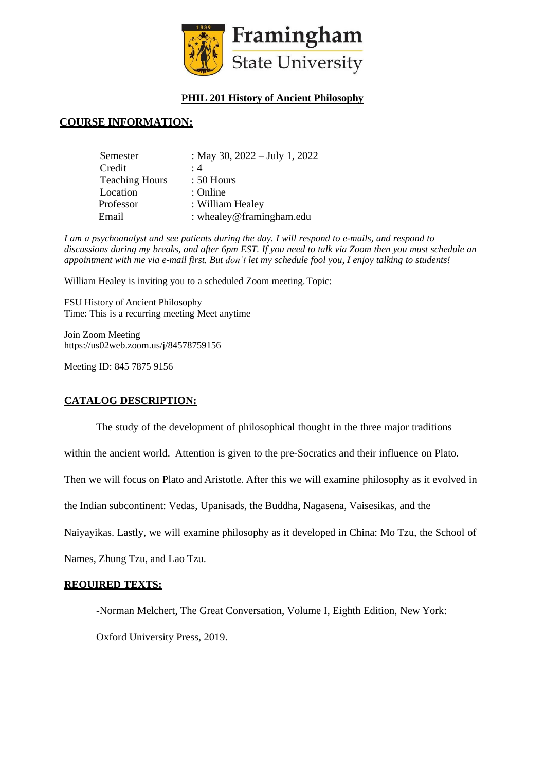

## **PHIL 201 History of Ancient Philosophy**

#### **COURSE INFORMATION:**

| Semester              | : May 30, $2022 - July 1, 2022$ |
|-----------------------|---------------------------------|
| Credit                | :4                              |
| <b>Teaching Hours</b> | $: 50$ Hours                    |
| Location              | : Online                        |
| Professor             | : William Healey                |
| Email                 | : whealey@framingham.edu        |

*I am a psychoanalyst and see patients during the day. I will respond to e-mails, and respond to* discussions during my breaks, and after 6pm EST. If you need to talk via Zoom then you must schedule an appointment with me via e-mail first. But don't let my schedule fool you, I enjoy talking to students!

William Healey is inviting you to a scheduled Zoom meeting.Topic:

FSU History of Ancient Philosophy Time: This is a recurring meeting Meet anytime

Join Zoom Meeting https://us02web.zoom.us/j/84578759156

Meeting ID: 845 7875 9156

#### **CATALOG DESCRIPTION:**

The study of the development of philosophical thought in the three major traditions

within the ancient world. Attention is given to the pre-Socratics and their influence on Plato.

Then we will focus on Plato and Aristotle. After this we will examine philosophy as it evolved in

the Indian subcontinent: Vedas, Upanisads, the Buddha, Nagasena, Vaisesikas, and the

Naiyayikas. Lastly, we will examine philosophy as it developed in China: Mo Tzu, the School of

Names, Zhung Tzu, and Lao Tzu.

#### **REQUIRED TEXTS:**

-Norman Melchert, The Great Conversation, Volume I, Eighth Edition, New York:

Oxford University Press, 2019.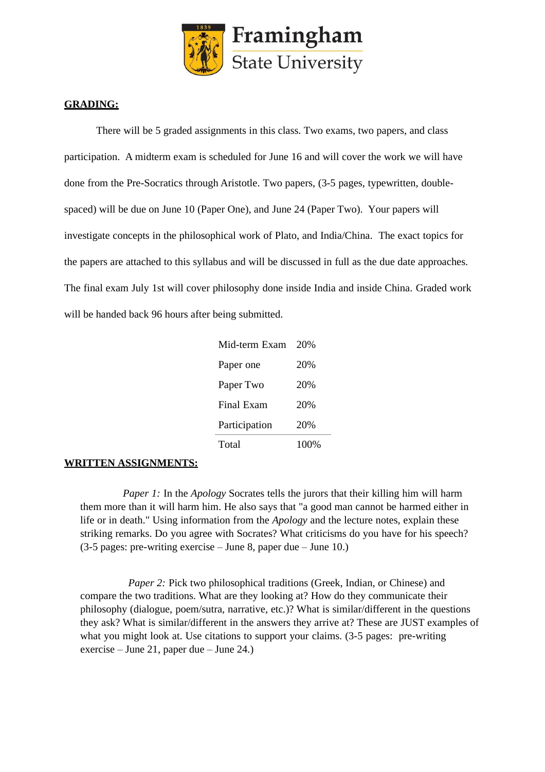

#### **GRADING:**

There will be 5 graded assignments in this class. Two exams, two papers, and class participation. A midterm exam is scheduled for June 16 and will cover the work we will have done from the Pre-Socratics through Aristotle. Two papers, (3-5 pages, typewritten, doublespaced) will be due on June 10 (Paper One), and June 24 (Paper Two). Your papers will investigate concepts in the philosophical work of Plato, and India/China. The exact topics for the papers are attached to this syllabus and will be discussed in full as the due date approaches. The final exam July 1st will cover philosophy done inside India and inside China. Graded work will be handed back 96 hours after being submitted.

| Mid-term Exam | 20%  |
|---------------|------|
| Paper one     | 20%  |
| Paper Two     | 20%  |
| Final Exam    | 20%  |
| Participation | 20%  |
| Total         | 100% |

## **WRITTEN ASSIGNMENTS:**

*Paper 1:* In the *Apology* Socrates tells the jurors that their killing him will harm them more than it will harm him. He also says that "a good man cannot be harmed either in life or in death." Using information from the *Apology* and the lecture notes, explain these striking remarks. Do you agree with Socrates? What criticisms do you have for his speech? (3-5 pages: pre-writing exercise – June 8, paper due – June 10.)

*Paper* 2: Pick two philosophical traditions (Greek, Indian, or Chinese) and compare the two traditions. What are they looking at? How do they communicate their philosophy (dialogue, poem/sutra, narrative, etc.)? What is similar/different in the questions they ask? What is similar/different in the answers they arrive at? These are JUST examples of what you might look at. Use citations to support your claims. (3-5 pages: pre-writing exercise – June 21, paper due – June 24.)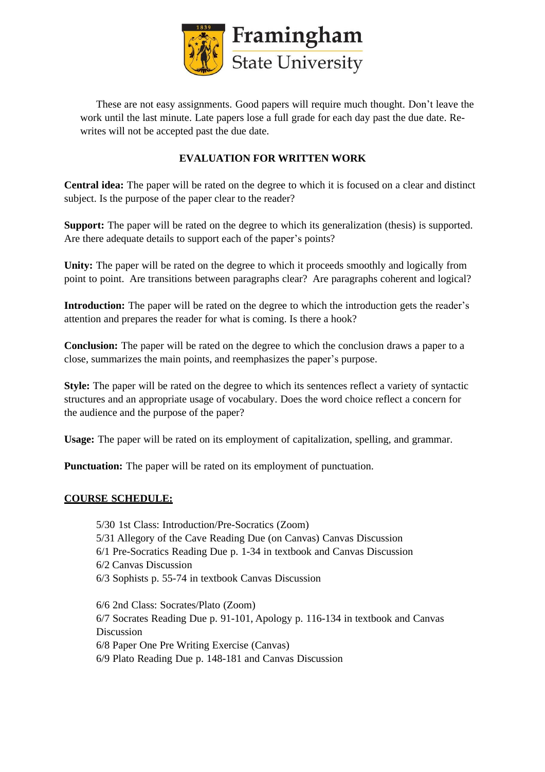

These are not easy assignments. Good papers will require much thought. Don't leave the work until the last minute. Late papers lose a full grade for each day past the due date. Rewrites will not be accepted past the due date.

# **EVALUATION FOR WRITTEN WORK**

**Central idea:** The paper will be rated on the degree to which it is focused on a clear and distinct subject. Is the purpose of the paper clear to the reader?

**Support:** The paper will be rated on the degree to which its generalization (thesis) is supported. Are there adequate details to support each of the paper's points?

**Unity:** The paper will be rated on the degree to which it proceeds smoothly and logically from point to point. Are transitions between paragraphs clear? Are paragraphs coherent and logical?

**Introduction:** The paper will be rated on the degree to which the introduction gets the reader's attention and prepares the reader for what is coming. Is there a hook?

**Conclusion:** The paper will be rated on the degree to which the conclusion draws a paper to a close, summarizes the main points, and reemphasizes the paper's purpose.

**Style:** The paper will be rated on the degree to which its sentences reflect a variety of syntactic structures and an appropriate usage of vocabulary. Does the word choice reflect a concern for the audience and the purpose of the paper?

**Usage:** The paper will be rated on its employment of capitalization, spelling, and grammar.

**Punctuation:** The paper will be rated on its employment of punctuation.

## **COURSE SCHEDULE:**

5/30 1st Class: Introduction/Pre-Socratics (Zoom) 5/31 Allegory of the Cave Reading Due (on Canvas) Canvas Discussion 6/1 Pre-Socratics Reading Due p. 1-34 in textbook and Canvas Discussion 6/2 Canvas Discussion 6/3 Sophists p. 55-74 in textbook Canvas Discussion 6/6 2nd Class: Socrates/Plato (Zoom) 6/7 Socrates Reading Due p. 91-101, Apology p. 116-134 in textbook and Canvas Discussion 6/8 Paper One Pre Writing Exercise (Canvas)

6/9 Plato Reading Due p. 148-181 and Canvas Discussion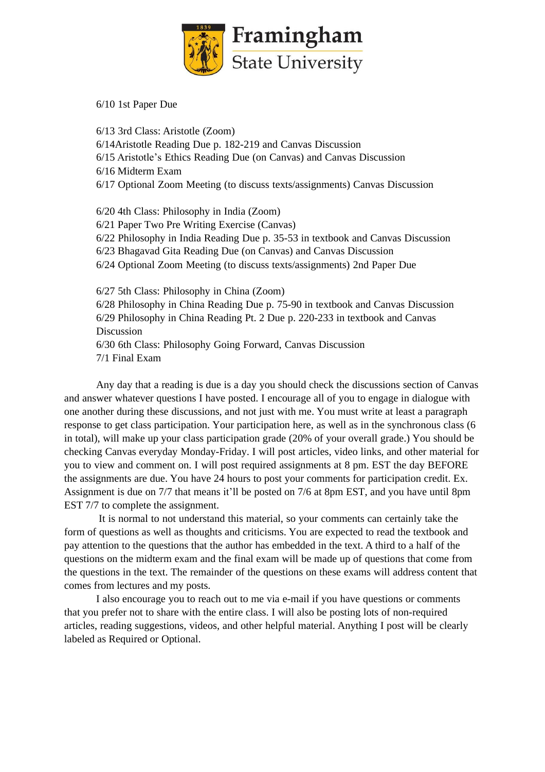

6/10 1st Paper Due

6/13 3rd Class: Aristotle (Zoom) 6/14Aristotle Reading Due p. 182-219 and Canvas Discussion 6/15 Aristotle's Ethics Reading Due (on Canvas) and Canvas Discussion 6/16 Midterm Exam 6/17 Optional Zoom Meeting (to discuss texts/assignments) Canvas Discussion 6/20 4th Class: Philosophy in India (Zoom) 6/21 Paper Two Pre Writing Exercise (Canvas) 6/22 Philosophy in India Reading Due p. 35-53 in textbook and Canvas Discussion

6/23 Bhagavad Gita Reading Due (on Canvas) and Canvas Discussion

6/24 Optional Zoom Meeting (to discuss texts/assignments) 2nd Paper Due

6/27 5th Class: Philosophy in China (Zoom) 6/28 Philosophy in China Reading Due p. 75-90 in textbook and Canvas Discussion 6/29 Philosophy in China Reading Pt. 2 Due p. 220-233 in textbook and Canvas Discussion 6/30 6th Class: Philosophy Going Forward, Canvas Discussion

7/1 Final Exam

Any day that a reading is due is a day you should check the discussions section of Canvas and answer whatever questions I have posted. I encourage all of you to engage in dialogue with one another during these discussions, and not just with me. You must write at least a paragraph response to get class participation. Your participation here, as well as in the synchronous class (6 in total), will make up your class participation grade (20% of your overall grade.) You should be checking Canvas everyday Monday-Friday. I will post articles, video links, and other material for you to view and comment on. I will post required assignments at 8 pm. EST the day BEFORE the assignments are due. You have 24 hours to post your comments for participation credit. Ex. Assignment is due on 7/7 that means it'll be posted on 7/6 at 8pm EST, and you have until 8pm EST 7/7 to complete the assignment.

It is normal to not understand this material, so your comments can certainly take the form of questions as well as thoughts and criticisms. You are expected to read the textbook and pay attention to the questions that the author has embedded in the text. A third to a half of the questions on the midterm exam and the final exam will be made up of questions that come from the questions in the text. The remainder of the questions on these exams will address content that comes from lectures and my posts.

I also encourage you to reach out to me via e-mail if you have questions or comments that you prefer not to share with the entire class. I will also be posting lots of non-required articles, reading suggestions, videos, and other helpful material. Anything I post will be clearly labeled as Required or Optional.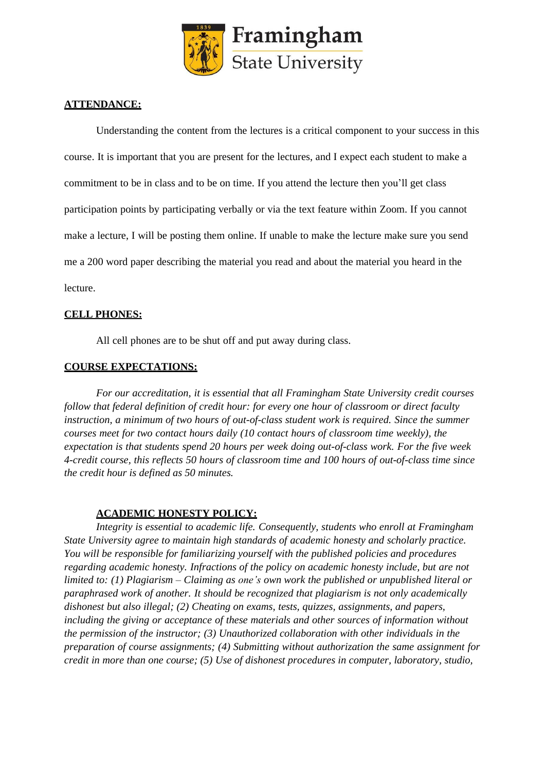

### **ATTENDANCE:**

Understanding the content from the lectures is a critical component to your success in this course. It is important that you are present for the lectures, and I expect each student to make a commitment to be in class and to be on time. If you attend the lecture then you'll get class participation points by participating verbally or via the text feature within Zoom. If you cannot make a lecture, I will be posting them online. If unable to make the lecture make sure you send me a 200 word paper describing the material you read and about the material you heard in the lecture.

### **CELL PHONES:**

All cell phones are to be shut off and put away during class.

#### **COURSE EXPECTATIONS:**

*For our accreditation, it is essential that all Framingham State University credit courses follow that federal definition of credit hour: for every one hour of classroom or direct faculty instruction, a minimum of two hours of out-of-class student work is required. Since the summer courses meet for two contact hours daily (10 contact hours of classroom time weekly), the expectation is that students spend 20 hours per week doing out-of-class work. For the five week 4-credit course, this reflects 50 hours of classroom time and 100 hours of out-of-class time since the credit hour is defined as 50 minutes.*

#### **ACADEMIC HONESTY POLICY:**

*Integrity is essential to academic life. Consequently, students who enroll at Framingham State University agree to maintain high standards of academic honesty and scholarly practice. You will be responsible for familiarizing yourself with the published policies and procedures regarding academic honesty. Infractions of the policy on academic honesty include, but are not limited to: (1) Plagiarism – Claiming as one's own work the published or unpublished literal or paraphrased work of another. It should be recognized that plagiarism is not only academically dishonest but also illegal; (2) Cheating on exams, tests, quizzes, assignments, and papers, including the giving or acceptance of these materials and other sources of information without the permission of the instructor; (3) Unauthorized collaboration with other individuals in the preparation of course assignments; (4) Submitting without authorization the same assignment for credit in more than one course; (5) Use of dishonest procedures in computer, laboratory, studio,*